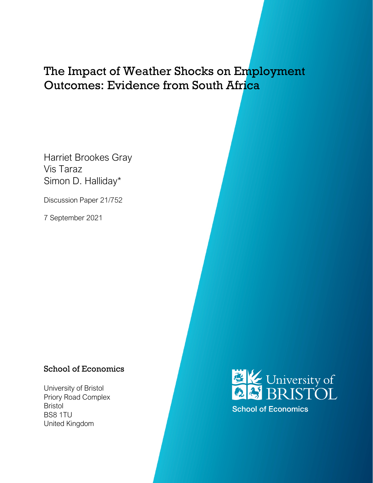# The Impact of Weather Shocks on Employment Outcomes: Evidence from South Africa

Harriet Brookes Gray Vis Taraz Simon D. Halliday\*

Discussion Paper 21/752

7 September 2021

### School of Economics

University of Bristol Priory Road Complex Bristol BS8 1TU United Kingdom



**School of Economics**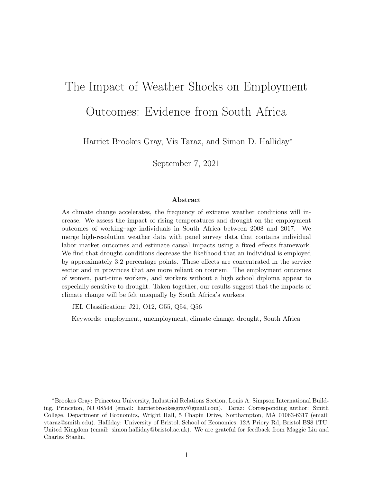# The Impact of Weather Shocks on Employment Outcomes: Evidence from South Africa

Harriet Brookes Gray, Vis Taraz, and Simon D. Halliday<sup>∗</sup>

September 7, 2021

#### Abstract

As climate change accelerates, the frequency of extreme weather conditions will increase. We assess the impact of rising temperatures and drought on the employment outcomes of working–age individuals in South Africa between 2008 and 2017. We merge high-resolution weather data with panel survey data that contains individual labor market outcomes and estimate causal impacts using a fixed effects framework. We find that drought conditions decrease the likelihood that an individual is employed by approximately 3.2 percentage points. These effects are concentrated in the service sector and in provinces that are more reliant on tourism. The employment outcomes of women, part-time workers, and workers without a high school diploma appear to especially sensitive to drought. Taken together, our results suggest that the impacts of climate change will be felt unequally by South Africa's workers.

JEL Classification: J21, O12, O55, Q54, Q56

Keywords: employment, unemployment, climate change, drought, South Africa

<sup>∗</sup>Brookes Gray: Princeton University, Industrial Relations Section, Louis A. Simpson International Building, Princeton, NJ 08544 (email: harrietbrookesgray@gmail.com). Taraz: Corresponding author: Smith College, Department of Economics, Wright Hall, 5 Chapin Drive, Northampton, MA 01063-6317 (email: vtaraz@smith.edu). Halliday: University of Bristol, School of Economics, 12A Priory Rd, Bristol BS8 1TU, United Kingdom (email: simon.halliday@bristol.ac.uk). We are grateful for feedback from Maggie Liu and Charles Staelin.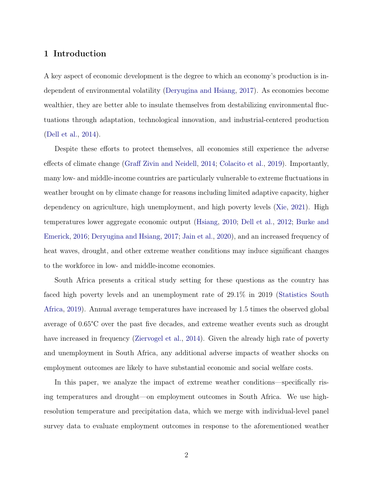#### 1 Introduction

A key aspect of economic development is the degree to which an economy's production is independent of environmental volatility [\(Deryugina and Hsiang,](#page-23-0) [2017\)](#page-23-0). As economies become wealthier, they are better able to insulate themselves from destabilizing environmental fluctuations through adaptation, technological innovation, and industrial-centered production [\(Dell et al.,](#page-23-1) [2014\)](#page-23-1).

Despite these efforts to protect themselves, all economies still experience the adverse effects of climate change [\(Graff Zivin and Neidell,](#page-23-2) [2014;](#page-23-2) [Colacito et al.,](#page-22-0) [2019\)](#page-22-0). Importantly, many low- and middle-income countries are particularly vulnerable to extreme fluctuations in weather brought on by climate change for reasons including limited adaptive capacity, higher dependency on agriculture, high unemployment, and high poverty levels [\(Xie,](#page-26-0) [2021\)](#page-26-0). High temperatures lower aggregate economic output [\(Hsiang,](#page-24-0) [2010;](#page-24-0) [Dell et al.,](#page-23-3) [2012;](#page-23-3) [Burke and](#page-22-1) [Emerick,](#page-22-1) [2016;](#page-22-1) [Deryugina and Hsiang,](#page-23-0) [2017;](#page-23-0) [Jain et al.,](#page-24-1) [2020\)](#page-24-1), and an increased frequency of heat waves, drought, and other extreme weather conditions may induce significant changes to the workforce in low- and middle-income economies.

South Africa presents a critical study setting for these questions as the country has faced high poverty levels and an unemployment rate of 29.1% in 2019 [\(Statistics South](#page-25-0) [Africa,](#page-25-0) [2019\)](#page-25-0). Annual average temperatures have increased by 1.5 times the observed global average of 0.65°C over the past five decades, and extreme weather events such as drought have increased in frequency [\(Ziervogel et al.,](#page-26-1) [2014\)](#page-26-1). Given the already high rate of poverty and unemployment in South Africa, any additional adverse impacts of weather shocks on employment outcomes are likely to have substantial economic and social welfare costs.

In this paper, we analyze the impact of extreme weather conditions—specifically rising temperatures and drought—on employment outcomes in South Africa. We use highresolution temperature and precipitation data, which we merge with individual-level panel survey data to evaluate employment outcomes in response to the aforementioned weather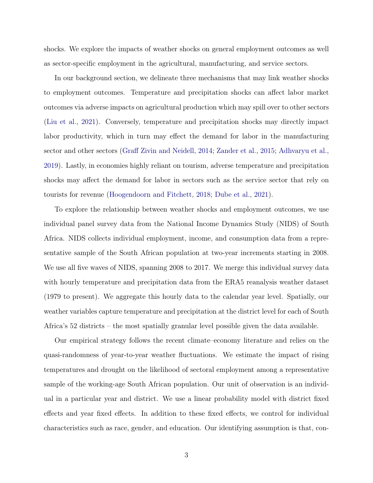shocks. We explore the impacts of weather shocks on general employment outcomes as well as sector-specific employment in the agricultural, manufacturing, and service sectors.

In our background section, we delineate three mechanisms that may link weather shocks to employment outcomes. Temperature and precipitation shocks can affect labor market outcomes via adverse impacts on agricultural production which may spill over to other sectors [\(Liu et al.,](#page-24-2) [2021\)](#page-24-2). Conversely, temperature and precipitation shocks may directly impact labor productivity, which in turn may effect the demand for labor in the manufacturing sector and other sectors [\(Graff Zivin and Neidell,](#page-23-2) [2014;](#page-23-2) [Zander et al.,](#page-26-2) [2015;](#page-26-2) [Adhvaryu et al.,](#page-22-2) [2019\)](#page-22-2). Lastly, in economies highly reliant on tourism, adverse temperature and precipitation shocks may affect the demand for labor in sectors such as the service sector that rely on tourists for revenue [\(Hoogendoorn and Fitchett,](#page-24-3) [2018;](#page-24-3) [Dube et al.,](#page-23-4) [2021\)](#page-23-4).

To explore the relationship between weather shocks and employment outcomes, we use individual panel survey data from the National Income Dynamics Study (NIDS) of South Africa. NIDS collects individual employment, income, and consumption data from a representative sample of the South African population at two-year increments starting in 2008. We use all five waves of NIDS, spanning 2008 to 2017. We merge this individual survey data with hourly temperature and precipitation data from the ERA5 reanalysis weather dataset (1979 to present). We aggregate this hourly data to the calendar year level. Spatially, our weather variables capture temperature and precipitation at the district level for each of South Africa's 52 districts – the most spatially granular level possible given the data available.

Our empirical strategy follows the recent climate–economy literature and relies on the quasi-randomness of year-to-year weather fluctuations. We estimate the impact of rising temperatures and drought on the likelihood of sectoral employment among a representative sample of the working-age South African population. Our unit of observation is an individual in a particular year and district. We use a linear probability model with district fixed effects and year fixed effects. In addition to these fixed effects, we control for individual characteristics such as race, gender, and education. Our identifying assumption is that, con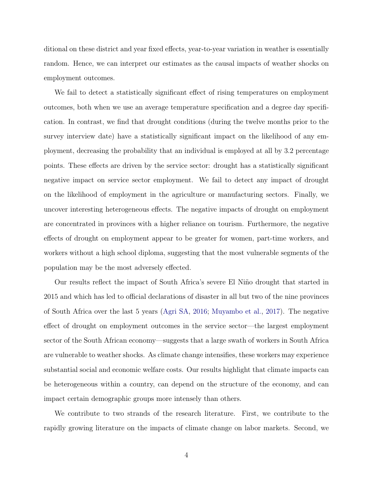ditional on these district and year fixed effects, year-to-year variation in weather is essentially random. Hence, we can interpret our estimates as the causal impacts of weather shocks on employment outcomes.

We fail to detect a statistically significant effect of rising temperatures on employment outcomes, both when we use an average temperature specification and a degree day specification. In contrast, we find that drought conditions (during the twelve months prior to the survey interview date) have a statistically significant impact on the likelihood of any employment, decreasing the probability that an individual is employed at all by 3.2 percentage points. These effects are driven by the service sector: drought has a statistically significant negative impact on service sector employment. We fail to detect any impact of drought on the likelihood of employment in the agriculture or manufacturing sectors. Finally, we uncover interesting heterogeneous effects. The negative impacts of drought on employment are concentrated in provinces with a higher reliance on tourism. Furthermore, the negative effects of drought on employment appear to be greater for women, part-time workers, and workers without a high school diploma, suggesting that the most vulnerable segments of the population may be the most adversely effected.

Our results reflect the impact of South Africa's severe El Niño drought that started in 2015 and which has led to official declarations of disaster in all but two of the nine provinces of South Africa over the last 5 years [\(Agri SA,](#page-22-3) [2016;](#page-22-3) [Muyambo et al.,](#page-25-1) [2017\)](#page-25-1). The negative effect of drought on employment outcomes in the service sector—the largest employment sector of the South African economy—suggests that a large swath of workers in South Africa are vulnerable to weather shocks. As climate change intensifies, these workers may experience substantial social and economic welfare costs. Our results highlight that climate impacts can be heterogeneous within a country, can depend on the structure of the economy, and can impact certain demographic groups more intensely than others.

We contribute to two strands of the research literature. First, we contribute to the rapidly growing literature on the impacts of climate change on labor markets. Second, we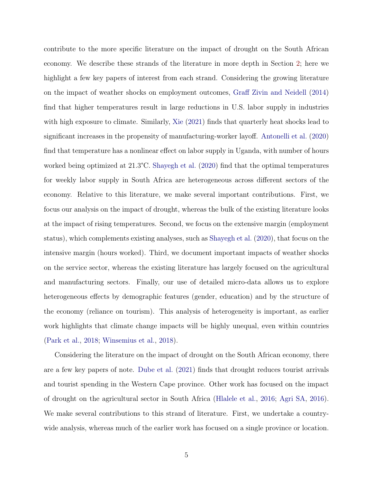contribute to the more specific literature on the impact of drought on the South African economy. We describe these strands of the literature in more depth in Section [2;](#page-6-0) here we highlight a few key papers of interest from each strand. Considering the growing literature on the impact of weather shocks on employment outcomes, [Graff Zivin and Neidell](#page-23-2) [\(2014\)](#page-23-2) find that higher temperatures result in large reductions in U.S. labor supply in industries with high exposure to climate. Similarly, [Xie](#page-26-0) [\(2021\)](#page-26-0) finds that quarterly heat shocks lead to significant increases in the propensity of manufacturing-worker layoff. [Antonelli et al.](#page-22-4) [\(2020\)](#page-22-4) find that temperature has a nonlinear effect on labor supply in Uganda, with number of hours worked being optimized at 21.3°C. [Shayegh et al.](#page-25-2) [\(2020\)](#page-25-2) find that the optimal temperatures for weekly labor supply in South Africa are heterogeneous across different sectors of the economy. Relative to this literature, we make several important contributions. First, we focus our analysis on the impact of drought, whereas the bulk of the existing literature looks at the impact of rising temperatures. Second, we focus on the extensive margin (employment status), which complements existing analyses, such as [Shayegh et al.](#page-25-2) [\(2020\)](#page-25-2), that focus on the intensive margin (hours worked). Third, we document important impacts of weather shocks on the service sector, whereas the existing literature has largely focused on the agricultural and manufacturing sectors. Finally, our use of detailed micro-data allows us to explore heterogeneous effects by demographic features (gender, education) and by the structure of the economy (reliance on tourism). This analysis of heterogeneity is important, as earlier work highlights that climate change impacts will be highly unequal, even within countries [\(Park et al.,](#page-25-3) [2018;](#page-25-3) [Winsemius et al.,](#page-26-3) [2018\)](#page-26-3).

Considering the literature on the impact of drought on the South African economy, there are a few key papers of note. [Dube et al.](#page-23-4) [\(2021\)](#page-23-4) finds that drought reduces tourist arrivals and tourist spending in the Western Cape province. Other work has focused on the impact of drought on the agricultural sector in South Africa [\(Hlalele et al.,](#page-24-4) [2016;](#page-24-4) [Agri SA,](#page-22-3) [2016\)](#page-22-3). We make several contributions to this strand of literature. First, we undertake a countrywide analysis, whereas much of the earlier work has focused on a single province or location.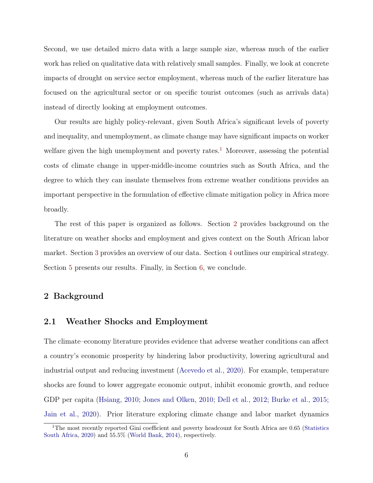Second, we use detailed micro data with a large sample size, whereas much of the earlier work has relied on qualitative data with relatively small samples. Finally, we look at concrete impacts of drought on service sector employment, whereas much of the earlier literature has focused on the agricultural sector or on specific tourist outcomes (such as arrivals data) instead of directly looking at employment outcomes.

Our results are highly policy-relevant, given South Africa's significant levels of poverty and inequality, and unemployment, as climate change may have significant impacts on worker welfare given the high unemployment and poverty rates.<sup>[1](#page-6-1)</sup> Moreover, assessing the potential costs of climate change in upper-middle-income countries such as South Africa, and the degree to which they can insulate themselves from extreme weather conditions provides an important perspective in the formulation of effective climate mitigation policy in Africa more broadly.

The rest of this paper is organized as follows. Section [2](#page-6-0) provides background on the literature on weather shocks and employment and gives context on the South African labor market. Section [3](#page-11-0) provides an overview of our data. Section [4](#page-14-0) outlines our empirical strategy. Section [5](#page-15-0) presents our results. Finally, in Section [6,](#page-19-0) we conclude.

#### <span id="page-6-0"></span>2 Background

#### 2.1 Weather Shocks and Employment

The climate–economy literature provides evidence that adverse weather conditions can affect a country's economic prosperity by hindering labor productivity, lowering agricultural and industrial output and reducing investment [\(Acevedo et al.,](#page-22-5) [2020\)](#page-22-5). For example, temperature shocks are found to lower aggregate economic output, inhibit economic growth, and reduce GDP per capita [\(Hsiang,](#page-24-0) [2010;](#page-24-0) [Jones and Olken,](#page-24-5) [2010;](#page-24-5) [Dell et al.,](#page-23-3) [2012;](#page-23-3) [Burke et al.,](#page-22-6) [2015;](#page-22-6) [Jain et al.,](#page-24-1) [2020\)](#page-24-1). Prior literature exploring climate change and labor market dynamics

<span id="page-6-1"></span><sup>&</sup>lt;sup>1</sup>The most recently reported Gini coefficient and poverty headcount for South Africa are 0.65 [\(Statistics](#page-25-4) [South Africa,](#page-25-4) [2020\)](#page-25-4) and 55.5% [\(World Bank,](#page-26-4) [2014\)](#page-26-4), respectively.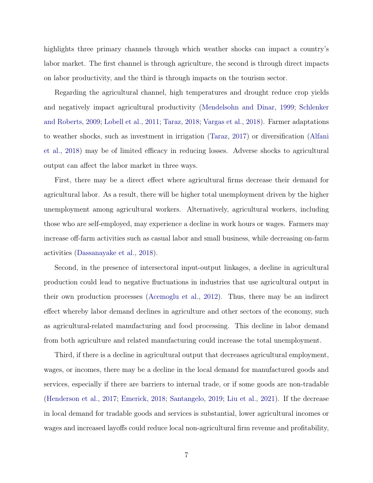highlights three primary channels through which weather shocks can impact a country's labor market. The first channel is through agriculture, the second is through direct impacts on labor productivity, and the third is through impacts on the tourism sector.

Regarding the agricultural channel, high temperatures and drought reduce crop yields and negatively impact agricultural productivity [\(Mendelsohn and Dinar,](#page-24-6) [1999;](#page-24-6) [Schlenker](#page-25-5) [and Roberts,](#page-25-5) [2009;](#page-25-5) [Lobell et al.,](#page-24-7) [2011;](#page-24-7) [Taraz,](#page-26-5) [2018;](#page-26-5) [Vargas et al.,](#page-26-6) [2018\)](#page-26-6). Farmer adaptations to weather shocks, such as investment in irrigation [\(Taraz,](#page-26-7) [2017\)](#page-26-7) or diversification [\(Alfani](#page-22-7) [et al.,](#page-22-7) [2018\)](#page-22-7) may be of limited efficacy in reducing losses. Adverse shocks to agricultural output can affect the labor market in three ways.

First, there may be a direct effect where agricultural firms decrease their demand for agricultural labor. As a result, there will be higher total unemployment driven by the higher unemployment among agricultural workers. Alternatively, agricultural workers, including those who are self-employed, may experience a decline in work hours or wages. Farmers may increase off-farm activities such as casual labor and small business, while decreasing on-farm activities [\(Dassanayake et al.,](#page-23-5) [2018\)](#page-23-5).

Second, in the presence of intersectoral input-output linkages, a decline in agricultural production could lead to negative fluctuations in industries that use agricultural output in their own production processes [\(Acemoglu et al.,](#page-22-8) [2012\)](#page-22-8). Thus, there may be an indirect effect whereby labor demand declines in agriculture and other sectors of the economy, such as agricultural-related manufacturing and food processing. This decline in labor demand from both agriculture and related manufacturing could increase the total unemployment.

Third, if there is a decline in agricultural output that decreases agricultural employment, wages, or incomes, there may be a decline in the local demand for manufactured goods and services, especially if there are barriers to internal trade, or if some goods are non-tradable [\(Henderson et al.,](#page-23-6) [2017;](#page-23-6) [Emerick,](#page-23-7) [2018;](#page-23-7) [Santangelo,](#page-25-6) [2019;](#page-25-6) [Liu et al.,](#page-24-2) [2021\)](#page-24-2). If the decrease in local demand for tradable goods and services is substantial, lower agricultural incomes or wages and increased layoffs could reduce local non-agricultural firm revenue and profitability,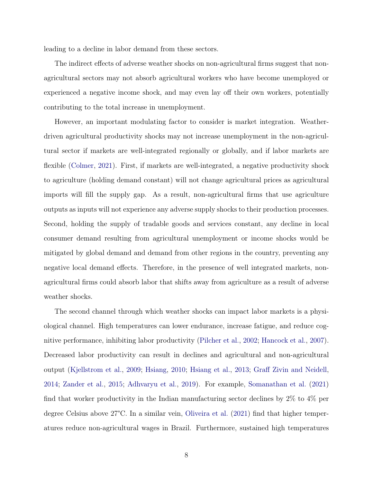leading to a decline in labor demand from these sectors.

The indirect effects of adverse weather shocks on non-agricultural firms suggest that nonagricultural sectors may not absorb agricultural workers who have become unemployed or experienced a negative income shock, and may even lay off their own workers, potentially contributing to the total increase in unemployment.

However, an important modulating factor to consider is market integration. Weatherdriven agricultural productivity shocks may not increase unemployment in the non-agricultural sector if markets are well-integrated regionally or globally, and if labor markets are flexible [\(Colmer,](#page-22-9) [2021\)](#page-22-9). First, if markets are well-integrated, a negative productivity shock to agriculture (holding demand constant) will not change agricultural prices as agricultural imports will fill the supply gap. As a result, non-agricultural firms that use agriculture outputs as inputs will not experience any adverse supply shocks to their production processes. Second, holding the supply of tradable goods and services constant, any decline in local consumer demand resulting from agricultural unemployment or income shocks would be mitigated by global demand and demand from other regions in the country, preventing any negative local demand effects. Therefore, in the presence of well integrated markets, nonagricultural firms could absorb labor that shifts away from agriculture as a result of adverse weather shocks.

The second channel through which weather shocks can impact labor markets is a physiological channel. High temperatures can lower endurance, increase fatigue, and reduce cognitive performance, inhibiting labor productivity [\(Pilcher et al.,](#page-25-7) [2002;](#page-25-7) [Hancock et al.,](#page-23-8) [2007\)](#page-23-8). Decreased labor productivity can result in declines and agricultural and non-agricultural output [\(Kjellstrom et al.,](#page-24-8) [2009;](#page-24-8) [Hsiang,](#page-24-0) [2010;](#page-24-0) [Hsiang et al.,](#page-24-9) [2013;](#page-24-9) [Graff Zivin and Neidell,](#page-23-2) [2014;](#page-23-2) [Zander et al.,](#page-26-2) [2015;](#page-26-2) [Adhvaryu et al.,](#page-22-2) [2019\)](#page-22-2). For example, [Somanathan et al.](#page-25-8) [\(2021\)](#page-25-8) find that worker productivity in the Indian manufacturing sector declines by 2% to 4% per degree Celsius above 27°C. In a similar vein, [Oliveira et al.](#page-25-9) [\(2021\)](#page-25-9) find that higher temperatures reduce non-agricultural wages in Brazil. Furthermore, sustained high temperatures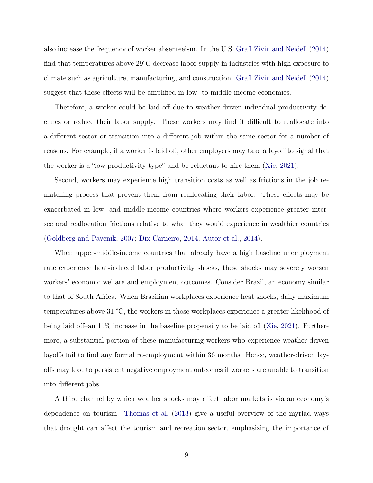also increase the frequency of worker absenteeism. In the U.S. [Graff Zivin and Neidell](#page-23-2) [\(2014\)](#page-23-2) find that temperatures above 29°C decrease labor supply in industries with high exposure to climate such as agriculture, manufacturing, and construction. [Graff Zivin and Neidell](#page-23-2) [\(2014\)](#page-23-2) suggest that these effects will be amplified in low- to middle-income economies.

Therefore, a worker could be laid off due to weather-driven individual productivity declines or reduce their labor supply. These workers may find it difficult to reallocate into a different sector or transition into a different job within the same sector for a number of reasons. For example, if a worker is laid off, other employers may take a layoff to signal that the worker is a "low productivity type" and be reluctant to hire them [\(Xie,](#page-26-0) [2021\)](#page-26-0).

Second, workers may experience high transition costs as well as frictions in the job rematching process that prevent them from reallocating their labor. These effects may be exacerbated in low- and middle-income countries where workers experience greater intersectoral reallocation frictions relative to what they would experience in wealthier countries [\(Goldberg and Pavcnik,](#page-23-9) [2007;](#page-23-9) [Dix-Carneiro,](#page-23-10) [2014;](#page-23-10) [Autor et al.,](#page-22-10) [2014\)](#page-22-10).

When upper-middle-income countries that already have a high baseline unemployment rate experience heat-induced labor productivity shocks, these shocks may severely worsen workers' economic welfare and employment outcomes. Consider Brazil, an economy similar to that of South Africa. When Brazilian workplaces experience heat shocks, daily maximum temperatures above 31 °C, the workers in those workplaces experience a greater likelihood of being laid off–an 11% increase in the baseline propensity to be laid off [\(Xie,](#page-26-0) [2021\)](#page-26-0). Furthermore, a substantial portion of these manufacturing workers who experience weather-driven layoffs fail to find any formal re-employment within 36 months. Hence, weather-driven layoffs may lead to persistent negative employment outcomes if workers are unable to transition into different jobs.

A third channel by which weather shocks may affect labor markets is via an economy's dependence on tourism. [Thomas et al.](#page-26-8) [\(2013\)](#page-26-8) give a useful overview of the myriad ways that drought can affect the tourism and recreation sector, emphasizing the importance of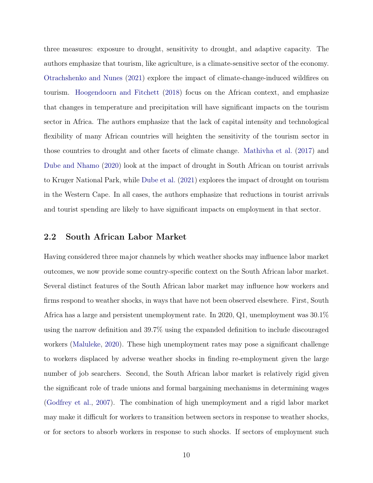three measures: exposure to drought, sensitivity to drought, and adaptive capacity. The authors emphasize that tourism, like agriculture, is a climate-sensitive sector of the economy. [Otrachshenko and Nunes](#page-25-10) [\(2021\)](#page-25-10) explore the impact of climate-change-induced wildfires on tourism. [Hoogendoorn and Fitchett](#page-24-3) [\(2018\)](#page-24-3) focus on the African context, and emphasize that changes in temperature and precipitation will have significant impacts on the tourism sector in Africa. The authors emphasize that the lack of capital intensity and technological flexibility of many African countries will heighten the sensitivity of the tourism sector in those countries to drought and other facets of climate change. [Mathivha et al.](#page-24-10) [\(2017\)](#page-24-10) and [Dube and Nhamo](#page-23-11) [\(2020\)](#page-23-11) look at the impact of drought in South African on tourist arrivals to Kruger National Park, while [Dube et al.](#page-23-4) [\(2021\)](#page-23-4) explores the impact of drought on tourism in the Western Cape. In all cases, the authors emphasize that reductions in tourist arrivals and tourist spending are likely to have significant impacts on employment in that sector.

#### 2.2 South African Labor Market

Having considered three major channels by which weather shocks may influence labor market outcomes, we now provide some country-specific context on the South African labor market. Several distinct features of the South African labor market may influence how workers and firms respond to weather shocks, in ways that have not been observed elsewhere. First, South Africa has a large and persistent unemployment rate. In 2020, Q1, unemployment was 30.1% using the narrow definition and 39.7% using the expanded definition to include discouraged workers [\(Maluleke,](#page-24-11) [2020\)](#page-24-11). These high unemployment rates may pose a significant challenge to workers displaced by adverse weather shocks in finding re-employment given the large number of job searchers. Second, the South African labor market is relatively rigid given the significant role of trade unions and formal bargaining mechanisms in determining wages [\(Godfrey et al.,](#page-23-12) [2007\)](#page-23-12). The combination of high unemployment and a rigid labor market may make it difficult for workers to transition between sectors in response to weather shocks, or for sectors to absorb workers in response to such shocks. If sectors of employment such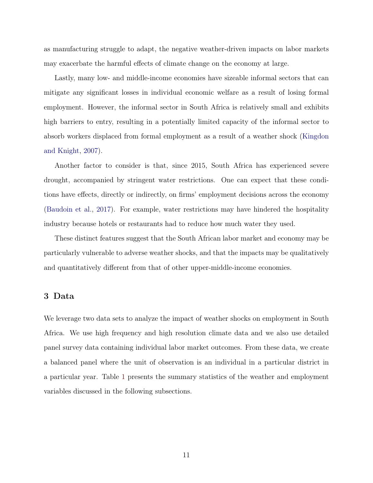as manufacturing struggle to adapt, the negative weather-driven impacts on labor markets may exacerbate the harmful effects of climate change on the economy at large.

Lastly, many low- and middle-income economies have sizeable informal sectors that can mitigate any significant losses in individual economic welfare as a result of losing formal employment. However, the informal sector in South Africa is relatively small and exhibits high barriers to entry, resulting in a potentially limited capacity of the informal sector to absorb workers displaced from formal employment as a result of a weather shock [\(Kingdon](#page-24-12) [and Knight,](#page-24-12) [2007\)](#page-24-12).

Another factor to consider is that, since 2015, South Africa has experienced severe drought, accompanied by stringent water restrictions. One can expect that these conditions have effects, directly or indirectly, on firms' employment decisions across the economy [\(Baudoin et al.,](#page-22-11) [2017\)](#page-22-11). For example, water restrictions may have hindered the hospitality industry because hotels or restaurants had to reduce how much water they used.

These distinct features suggest that the South African labor market and economy may be particularly vulnerable to adverse weather shocks, and that the impacts may be qualitatively and quantitatively different from that of other upper-middle-income economies.

#### <span id="page-11-0"></span>3 Data

We leverage two data sets to analyze the impact of weather shocks on employment in South Africa. We use high frequency and high resolution climate data and we also use detailed panel survey data containing individual labor market outcomes. From these data, we create a balanced panel where the unit of observation is an individual in a particular district in a particular year. Table [1](#page-28-0) presents the summary statistics of the weather and employment variables discussed in the following subsections.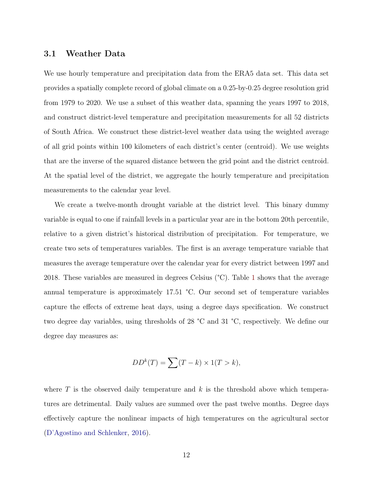#### 3.1 Weather Data

We use hourly temperature and precipitation data from the ERA5 data set. This data set provides a spatially complete record of global climate on a 0.25-by-0.25 degree resolution grid from 1979 to 2020. We use a subset of this weather data, spanning the years 1997 to 2018, and construct district-level temperature and precipitation measurements for all 52 districts of South Africa. We construct these district-level weather data using the weighted average of all grid points within 100 kilometers of each district's center (centroid). We use weights that are the inverse of the squared distance between the grid point and the district centroid. At the spatial level of the district, we aggregate the hourly temperature and precipitation measurements to the calendar year level.

We create a twelve-month drought variable at the district level. This binary dummy variable is equal to one if rainfall levels in a particular year are in the bottom 20th percentile, relative to a given district's historical distribution of precipitation. For temperature, we create two sets of temperatures variables. The first is an average temperature variable that measures the average temperature over the calendar year for every district between 1997 and 2018. These variables are measured in degrees Celsius (°C). Table [1](#page-28-0) shows that the average annual temperature is approximately 17.51 °C. Our second set of temperature variables capture the effects of extreme heat days, using a degree days specification. We construct two degree day variables, using thresholds of 28 °C and 31 °C, respectively. We define our degree day measures as:

$$
DD^{k}(T) = \sum (T - k) \times 1(T > k),
$$

where  $T$  is the observed daily temperature and  $k$  is the threshold above which temperatures are detrimental. Daily values are summed over the past twelve months. Degree days effectively capture the nonlinear impacts of high temperatures on the agricultural sector [\(D'Agostino and Schlenker,](#page-22-12) [2016\)](#page-22-12).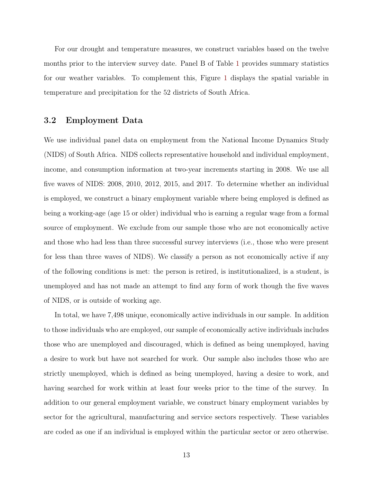For our drought and temperature measures, we construct variables based on the twelve months prior to the interview survey date. Panel B of Table [1](#page-28-0) provides summary statistics for our weather variables. To complement this, Figure [1](#page-27-0) displays the spatial variable in temperature and precipitation for the 52 districts of South Africa.

#### 3.2 Employment Data

We use individual panel data on employment from the National Income Dynamics Study (NIDS) of South Africa. NIDS collects representative household and individual employment, income, and consumption information at two-year increments starting in 2008. We use all five waves of NIDS: 2008, 2010, 2012, 2015, and 2017. To determine whether an individual is employed, we construct a binary employment variable where being employed is defined as being a working-age (age 15 or older) individual who is earning a regular wage from a formal source of employment. We exclude from our sample those who are not economically active and those who had less than three successful survey interviews (i.e., those who were present for less than three waves of NIDS). We classify a person as not economically active if any of the following conditions is met: the person is retired, is institutionalized, is a student, is unemployed and has not made an attempt to find any form of work though the five waves of NIDS, or is outside of working age.

In total, we have 7,498 unique, economically active individuals in our sample. In addition to those individuals who are employed, our sample of economically active individuals includes those who are unemployed and discouraged, which is defined as being unemployed, having a desire to work but have not searched for work. Our sample also includes those who are strictly unemployed, which is defined as being unemployed, having a desire to work, and having searched for work within at least four weeks prior to the time of the survey. In addition to our general employment variable, we construct binary employment variables by sector for the agricultural, manufacturing and service sectors respectively. These variables are coded as one if an individual is employed within the particular sector or zero otherwise.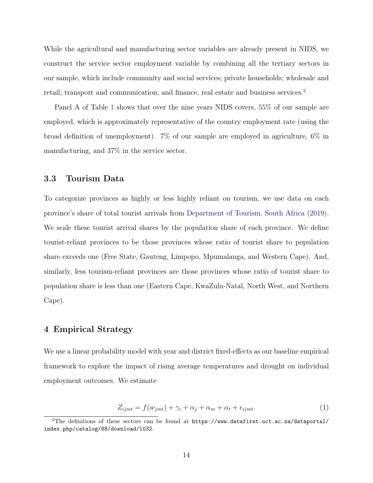While the agricultural and manufacturing sector variables are already present in NIDS, we construct the service sector employment variable by combining all the tertiary sectors in our sample, which include community and social services; private households; wholesale and retail; transport and communication; and finance, real estate and business services.<sup>[2](#page-14-1)</sup>

Panel A of Table [1](#page-28-0) shows that over the nine years NIDS covers, 55% of our sample are employed, which is approximately representative of the country employment rate (using the broad definition of unemployment). 7% of our sample are employed in agriculture, 6% in manufacturing, and 37% in the service sector.

#### 3.3 Tourism Data

To categorize provinces as highly or less highly reliant on tourism, we use data on each province's share of total tourist arrivals from [Department of Tourism, South Africa](#page-23-13) [\(2019\)](#page-23-13). We scale these tourist arrival shares by the population share of each province. We define tourist-reliant provinces to be those provinces whose ratio of tourist share to population share exceeds one (Free State, Gauteng, Limpopo, Mpumalanga, and Western Cape). And, similarly, less tourism-reliant provinces are those provinces whose ratio of tourist share to population share is less than one (Eastern Cape, KwaZulu-Natal, North West, and Northern Cape).

#### <span id="page-14-0"></span>4 Empirical Strategy

We use a linear probability model with year and district fixed-effects as our baseline empirical framework to explore the impact of rising average temperatures and drought on individual employment outcomes. We estimate

$$
Z_{ijmt} = f(w_{jmt}) + \gamma_i + \alpha_j + \alpha_m + \alpha_t + \epsilon_{ijmt}.\tag{1}
$$

<span id="page-14-1"></span><sup>&</sup>lt;sup>2</sup>The definitions of these sectors can be found at  $https://www.datafirst.uct.ac.za/dataportal/$ [index.php/catalog/88/download/1032](https://www.datafirst.uct.ac.za/dataportal/index.php/catalog/88/download/1032).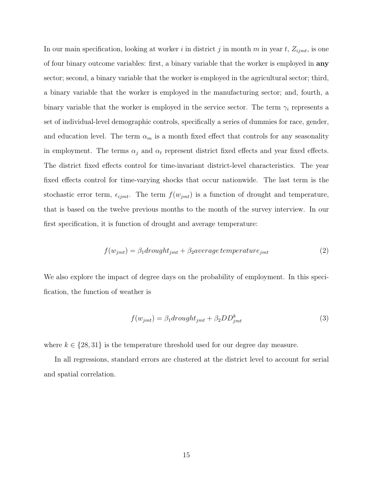In our main specification, looking at worker i in district j in month m in year t,  $Z_{ijmt}$ , is one of four binary outcome variables: first, a binary variable that the worker is employed in any sector; second, a binary variable that the worker is employed in the agricultural sector; third, a binary variable that the worker is employed in the manufacturing sector; and, fourth, a binary variable that the worker is employed in the service sector. The term  $\gamma_i$  represents a set of individual-level demographic controls, specifically a series of dummies for race, gender, and education level. The term  $\alpha_m$  is a month fixed effect that controls for any seasonality in employment. The terms  $\alpha_j$  and  $\alpha_t$  represent district fixed effects and year fixed effects. The district fixed effects control for time-invariant district-level characteristics. The year fixed effects control for time-varying shocks that occur nationwide. The last term is the stochastic error term,  $\epsilon_{ijmt}$ . The term  $f(w_{jmt})$  is a function of drought and temperature, that is based on the twelve previous months to the month of the survey interview. In our first specification, it is function of drought and average temperature:

$$
f(w_{jmt}) = \beta_1 \, d\,t \, ought_{jmt} + \beta_2 \, average \, temperature_{jmt} \tag{2}
$$

We also explore the impact of degree days on the probability of employment. In this specification, the function of weather is

$$
f(w_{jmt}) = \beta_1 \frac{drought_{jmt} + \beta_2 DD_{jmt}^k}{\cdots} \tag{3}
$$

where  $k \in \{28, 31\}$  is the temperature threshold used for our degree day measure.

<span id="page-15-0"></span>In all regressions, standard errors are clustered at the district level to account for serial and spatial correlation.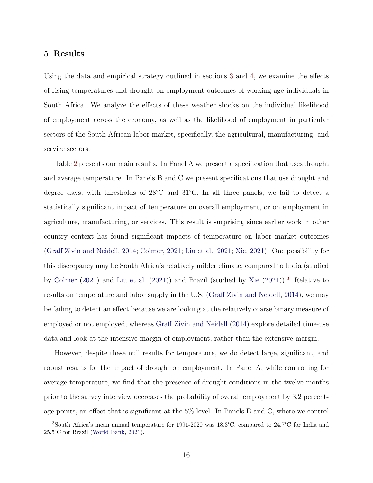#### 5 Results

Using the data and empirical strategy outlined in sections [3](#page-11-0) and [4,](#page-14-0) we examine the effects of rising temperatures and drought on employment outcomes of working-age individuals in South Africa. We analyze the effects of these weather shocks on the individual likelihood of employment across the economy, as well as the likelihood of employment in particular sectors of the South African labor market, specifically, the agricultural, manufacturing, and service sectors.

Table [2](#page-29-0) presents our main results. In Panel A we present a specification that uses drought and average temperature. In Panels B and C we present specifications that use drought and degree days, with thresholds of 28°C and 31°C. In all three panels, we fail to detect a statistically significant impact of temperature on overall employment, or on employment in agriculture, manufacturing, or services. This result is surprising since earlier work in other country context has found significant impacts of temperature on labor market outcomes [\(Graff Zivin and Neidell,](#page-23-2) [2014;](#page-23-2) [Colmer,](#page-22-9) [2021;](#page-22-9) [Liu et al.,](#page-24-2) [2021;](#page-24-2) [Xie,](#page-26-0) [2021\)](#page-26-0). One possibility for this discrepancy may be South Africa's relatively milder climate, compared to India (studied by [Colmer](#page-22-9) [\(2021\)](#page-22-9) and [Liu et al.](#page-24-2) [\(2021\)](#page-24-2)) and Brazil (studied by [Xie](#page-26-0) [\(2021\)](#page-26-0)).[3](#page-16-0) Relative to results on temperature and labor supply in the U.S. [\(Graff Zivin and Neidell,](#page-23-2) [2014\)](#page-23-2), we may be failing to detect an effect because we are looking at the relatively coarse binary measure of employed or not employed, whereas [Graff Zivin and Neidell](#page-23-2) [\(2014\)](#page-23-2) explore detailed time-use data and look at the intensive margin of employment, rather than the extensive margin.

However, despite these null results for temperature, we do detect large, significant, and robust results for the impact of drought on employment. In Panel A, while controlling for average temperature, we find that the presence of drought conditions in the twelve months prior to the survey interview decreases the probability of overall employment by 3.2 percentage points, an effect that is significant at the 5% level. In Panels B and C, where we control

<span id="page-16-0"></span><sup>3</sup>South Africa's mean annual temperature for 1991-2020 was 18.3°C, compared to 24.7°C for India and 25.5°C for Brazil [\(World Bank,](#page-26-9) [2021\)](#page-26-9).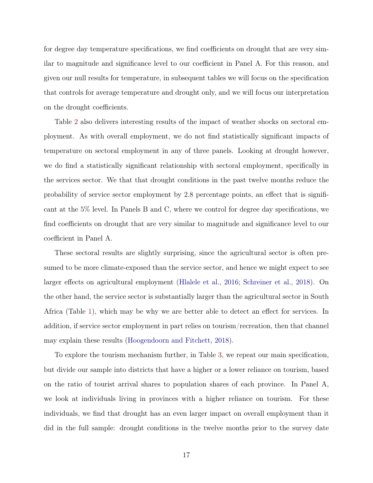for degree day temperature specifications, we find coefficients on drought that are very similar to magnitude and significance level to our coefficient in Panel A. For this reason, and given our null results for temperature, in subsequent tables we will focus on the specification that controls for average temperature and drought only, and we will focus our interpretation on the drought coefficients.

Table [2](#page-29-0) also delivers interesting results of the impact of weather shocks on sectoral employment. As with overall employment, we do not find statistically significant impacts of temperature on sectoral employment in any of three panels. Looking at drought however, we do find a statistically significant relationship with sectoral employment, specifically in the services sector. We that that drought conditions in the past twelve months reduce the probability of service sector employment by 2.8 percentage points, an effect that is significant at the 5% level. In Panels B and C, where we control for degree day specifications, we find coefficients on drought that are very similar to magnitude and significance level to our coefficient in Panel A.

These sectoral results are slightly surprising, since the agricultural sector is often presumed to be more climate-exposed than the service sector, and hence we might expect to see larger effects on agricultural employment [\(Hlalele et al.,](#page-24-4) [2016;](#page-24-4) [Schreiner et al.,](#page-25-11) [2018\)](#page-25-11). On the other hand, the service sector is substantially larger than the agricultural sector in South Africa (Table [1\)](#page-28-0), which may be why we are better able to detect an effect for services. In addition, if service sector employment in part relies on tourism/recreation, then that channel may explain these results [\(Hoogendoorn and Fitchett,](#page-24-3) [2018\)](#page-24-3).

To explore the tourism mechanism further, in Table [3,](#page-30-0) we repeat our main specification, but divide our sample into districts that have a higher or a lower reliance on tourism, based on the ratio of tourist arrival shares to population shares of each province. In Panel A, we look at individuals living in provinces with a higher reliance on tourism. For these individuals, we find that drought has an even larger impact on overall employment than it did in the full sample: drought conditions in the twelve months prior to the survey date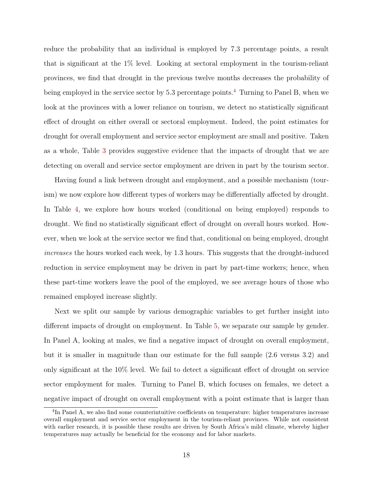reduce the probability that an individual is employed by 7.3 percentage points, a result that is significant at the 1% level. Looking at sectoral employment in the tourism-reliant provinces, we find that drought in the previous twelve months decreases the probability of being employed in the service sector by 5.3 percentage points.<sup>[4](#page-18-0)</sup> Turning to Panel B, when we look at the provinces with a lower reliance on tourism, we detect no statistically significant effect of drought on either overall or sectoral employment. Indeed, the point estimates for drought for overall employment and service sector employment are small and positive. Taken as a whole, Table [3](#page-30-0) provides suggestive evidence that the impacts of drought that we are detecting on overall and service sector employment are driven in part by the tourism sector.

Having found a link between drought and employment, and a possible mechanism (tourism) we now explore how different types of workers may be differentially affected by drought. In Table [4,](#page-31-0) we explore how hours worked (conditional on being employed) responds to drought. We find no statistically significant effect of drought on overall hours worked. However, when we look at the service sector we find that, conditional on being employed, drought increases the hours worked each week, by 1.3 hours. This suggests that the drought-induced reduction in service employment may be driven in part by part-time workers; hence, when these part-time workers leave the pool of the employed, we see average hours of those who remained employed increase slightly.

Next we split our sample by various demographic variables to get further insight into different impacts of drought on employment. In Table [5,](#page-32-0) we separate our sample by gender. In Panel A, looking at males, we find a negative impact of drought on overall employment, but it is smaller in magnitude than our estimate for the full sample (2.6 versus 3.2) and only significant at the 10% level. We fail to detect a significant effect of drought on service sector employment for males. Turning to Panel B, which focuses on females, we detect a negative impact of drought on overall employment with a point estimate that is larger than

<span id="page-18-0"></span><sup>&</sup>lt;sup>4</sup>In Panel A, we also find some counterintuitive coefficients on temperature: higher temperatures increase overall employment and service sector employment in the tourism-reliant provinces. While not consistent with earlier research, it is possible these results are driven by South Africa's mild climate, whereby higher temperatures may actually be beneficial for the economy and for labor markets.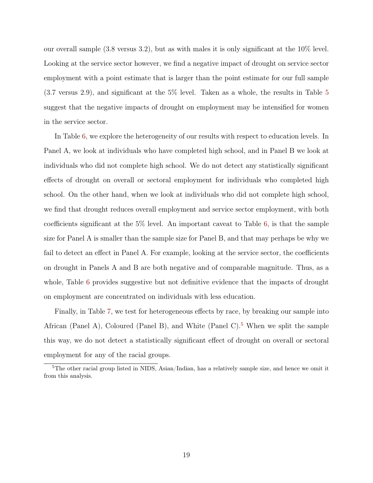our overall sample (3.8 versus 3.2), but as with males it is only significant at the 10% level. Looking at the service sector however, we find a negative impact of drought on service sector employment with a point estimate that is larger than the point estimate for our full sample (3.7 versus 2.9), and significant at the 5% level. Taken as a whole, the results in Table [5](#page-32-0) suggest that the negative impacts of drought on employment may be intensified for women in the service sector.

In Table [6,](#page-33-0) we explore the heterogeneity of our results with respect to education levels. In Panel A, we look at individuals who have completed high school, and in Panel B we look at individuals who did not complete high school. We do not detect any statistically significant effects of drought on overall or sectoral employment for individuals who completed high school. On the other hand, when we look at individuals who did not complete high school, we find that drought reduces overall employment and service sector employment, with both coefficients significant at the 5% level. An important caveat to Table [6,](#page-33-0) is that the sample size for Panel A is smaller than the sample size for Panel B, and that may perhaps be why we fail to detect an effect in Panel A. For example, looking at the service sector, the coefficients on drought in Panels A and B are both negative and of comparable magnitude. Thus, as a whole, Table [6](#page-33-0) provides suggestive but not definitive evidence that the impacts of drought on employment are concentrated on individuals with less education.

Finally, in Table [7,](#page-34-0) we test for heterogeneous effects by race, by breaking our sample into African (Panel A), Coloured (Panel B), and White (Panel C).<sup>[5](#page-19-1)</sup> When we split the sample this way, we do not detect a statistically significant effect of drought on overall or sectoral employment for any of the racial groups.

<span id="page-19-1"></span><span id="page-19-0"></span><sup>&</sup>lt;sup>5</sup>The other racial group listed in NIDS, Asian/Indian, has a relatively sample size, and hence we omit it from this analysis.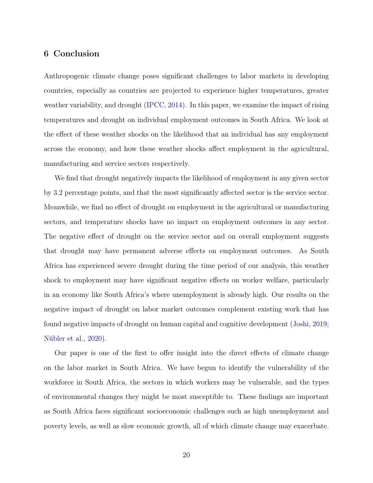#### 6 Conclusion

Anthropogenic climate change poses significant challenges to labor markets in developing countries, especially as countries are projected to experience higher temperatures, greater weather variability, and drought [\(IPCC,](#page-24-13) [2014\)](#page-24-13). In this paper, we examine the impact of rising temperatures and drought on individual employment outcomes in South Africa. We look at the effect of these weather shocks on the likelihood that an individual has any employment across the economy, and how these weather shocks affect employment in the agricultural, manufacturing and service sectors respectively.

We find that drought negatively impacts the likelihood of employment in any given sector by 3.2 percentage points, and that the most significantly affected sector is the service sector. Meanwhile, we find no effect of drought on employment in the agricultural or manufacturing sectors, and temperature shocks have no impact on employment outcomes in any sector. The negative effect of drought on the service sector and on overall employment suggests that drought may have permanent adverse effects on employment outcomes. As South Africa has experienced severe drought during the time period of our analysis, this weather shock to employment may have significant negative effects on worker welfare, particularly in an economy like South Africa's where unemployment is already high. Our results on the negative impact of drought on labor market outcomes complement existing work that has found negative impacts of drought on human capital and cognitive development [\(Joshi,](#page-24-14) [2019;](#page-24-14) [Nübler et al.,](#page-25-12) [2020\)](#page-25-12).

Our paper is one of the first to offer insight into the direct effects of climate change on the labor market in South Africa. We have begun to identify the vulnerability of the workforce in South Africa, the sectors in which workers may be vulnerable, and the types of environmental changes they might be most susceptible to. These findings are important as South Africa faces significant socioeconomic challenges such as high unemployment and poverty levels, as well as slow economic growth, all of which climate change may exacerbate.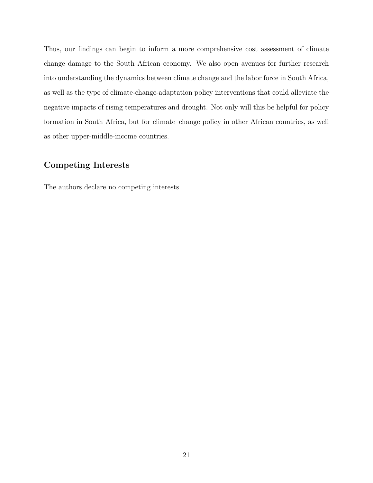Thus, our findings can begin to inform a more comprehensive cost assessment of climate change damage to the South African economy. We also open avenues for further research into understanding the dynamics between climate change and the labor force in South Africa, as well as the type of climate-change-adaptation policy interventions that could alleviate the negative impacts of rising temperatures and drought. Not only will this be helpful for policy formation in South Africa, but for climate–change policy in other African countries, as well as other upper-middle-income countries.

#### Competing Interests

The authors declare no competing interests.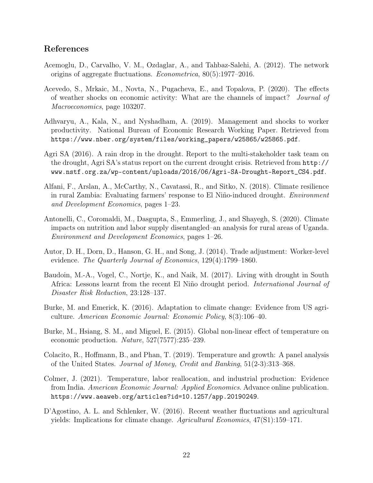#### References

- <span id="page-22-8"></span>Acemoglu, D., Carvalho, V. M., Ozdaglar, A., and Tahbaz-Salehi, A. (2012). The network origins of aggregate fluctuations. Econometrica, 80(5):1977–2016.
- <span id="page-22-5"></span>Acevedo, S., Mrkaic, M., Novta, N., Pugacheva, E., and Topalova, P. (2020). The effects of weather shocks on economic activity: What are the channels of impact? Journal of Macroeconomics, page 103207.
- <span id="page-22-2"></span>Adhvaryu, A., Kala, N., and Nyshadham, A. (2019). Management and shocks to worker productivity. National Bureau of Economic Research Working Paper. Retrieved from [https://www.nber.org/system/files/working\\_papers/w25865/w25865.pdf](https://www.nber.org/system/files/working_papers/w25865/w25865.pdf).
- <span id="page-22-3"></span>Agri SA (2016). A rain drop in the drought. Report to the multi-stakeholder task team on the drought, Agri SA's status report on the current drought crisis. Retrieved from [http://](http://www.nstf.org.za/wp-content/uploads/2016/06/Agri-SA-Drought-Report_CS4.pdf) [www.nstf.org.za/wp-content/uploads/2016/06/Agri-SA-Drought-Report\\_CS4.pdf](http://www.nstf.org.za/wp-content/uploads/2016/06/Agri-SA-Drought-Report_CS4.pdf).
- <span id="page-22-7"></span>Alfani, F., Arslan, A., McCarthy, N., Cavatassi, R., and Sitko, N. (2018). Climate resilience in rural Zambia: Evaluating farmers' response to El Niño-induced drought. Environment and Development Economics, pages 1–23.
- <span id="page-22-4"></span>Antonelli, C., Coromaldi, M., Dasgupta, S., Emmerling, J., and Shayegh, S. (2020). Climate impacts on nutrition and labor supply disentangled–an analysis for rural areas of Uganda. Environment and Development Economics, pages 1–26.
- <span id="page-22-10"></span>Autor, D. H., Dorn, D., Hanson, G. H., and Song, J. (2014). Trade adjustment: Worker-level evidence. The Quarterly Journal of Economics, 129(4):1799–1860.
- <span id="page-22-11"></span>Baudoin, M.-A., Vogel, C., Nortje, K., and Naik, M. (2017). Living with drought in South Africa: Lessons learnt from the recent El Niño drought period. International Journal of Disaster Risk Reduction, 23:128–137.
- <span id="page-22-1"></span>Burke, M. and Emerick, K. (2016). Adaptation to climate change: Evidence from US agriculture. American Economic Journal: Economic Policy, 8(3):106–40.
- <span id="page-22-6"></span>Burke, M., Hsiang, S. M., and Miguel, E. (2015). Global non-linear effect of temperature on economic production. Nature, 527(7577):235–239.
- <span id="page-22-0"></span>Colacito, R., Hoffmann, B., and Phan, T. (2019). Temperature and growth: A panel analysis of the United States. Journal of Money, Credit and Banking, 51(2-3):313–368.
- <span id="page-22-9"></span>Colmer, J. (2021). Temperature, labor reallocation, and industrial production: Evidence from India. American Economic Journal: Applied Economics. Advance online publication. <https://www.aeaweb.org/articles?id=10.1257/app.20190249>.
- <span id="page-22-12"></span>D'Agostino, A. L. and Schlenker, W. (2016). Recent weather fluctuations and agricultural yields: Implications for climate change. Agricultural Economics, 47(S1):159–171.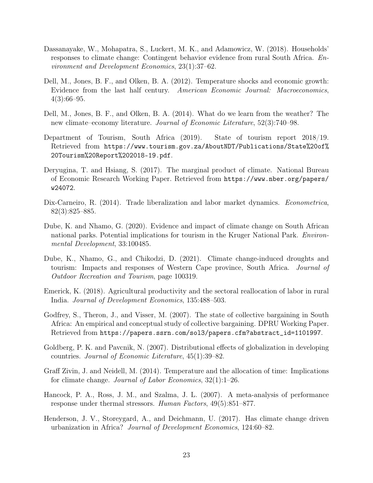- <span id="page-23-5"></span>Dassanayake, W., Mohapatra, S., Luckert, M. K., and Adamowicz, W. (2018). Households' responses to climate change: Contingent behavior evidence from rural South Africa. Environment and Development Economics, 23(1):37–62.
- <span id="page-23-3"></span>Dell, M., Jones, B. F., and Olken, B. A. (2012). Temperature shocks and economic growth: Evidence from the last half century. American Economic Journal: Macroeconomics,  $4(3):66-95.$
- <span id="page-23-1"></span>Dell, M., Jones, B. F., and Olken, B. A. (2014). What do we learn from the weather? The new climate–economy literature. Journal of Economic Literature, 52(3):740–98.
- <span id="page-23-13"></span>Department of Tourism, South Africa (2019). State of tourism report 2018/19. Retrieved from [https://www.tourism.gov.za/AboutNDT/Publications/State%20of%](https://www.tourism.gov.za/AboutNDT/Publications/State%20of%20Tourism%20Report%202018-19.pdf) [20Tourism%20Report%202018-19.pdf](https://www.tourism.gov.za/AboutNDT/Publications/State%20of%20Tourism%20Report%202018-19.pdf).
- <span id="page-23-0"></span>Deryugina, T. and Hsiang, S. (2017). The marginal product of climate. National Bureau of Economic Research Working Paper. Retrieved from [https://www.nber.org/papers/](https://www.nber.org/papers/w24072) [w24072](https://www.nber.org/papers/w24072).
- <span id="page-23-10"></span>Dix-Carneiro, R. (2014). Trade liberalization and labor market dynamics. *Econometrica*, 82(3):825–885.
- <span id="page-23-11"></span>Dube, K. and Nhamo, G. (2020). Evidence and impact of climate change on South African national parks. Potential implications for tourism in the Kruger National Park. Environmental Development, 33:100485.
- <span id="page-23-4"></span>Dube, K., Nhamo, G., and Chikodzi, D. (2021). Climate change-induced droughts and tourism: Impacts and responses of Western Cape province, South Africa. Journal of Outdoor Recreation and Tourism, page 100319.
- <span id="page-23-7"></span>Emerick, K. (2018). Agricultural productivity and the sectoral reallocation of labor in rural India. Journal of Development Economics, 135:488–503.
- <span id="page-23-12"></span>Godfrey, S., Theron, J., and Visser, M. (2007). The state of collective bargaining in South Africa: An empirical and conceptual study of collective bargaining. DPRU Working Paper. Retrieved from [https://papers.ssrn.com/sol3/papers.cfm?abstract\\_id=1101997](https://papers.ssrn.com/sol3/papers.cfm?abstract_id=1101997).
- <span id="page-23-9"></span>Goldberg, P. K. and Pavcnik, N. (2007). Distributional effects of globalization in developing countries. Journal of Economic Literature, 45(1):39–82.
- <span id="page-23-2"></span>Graff Zivin, J. and Neidell, M. (2014). Temperature and the allocation of time: Implications for climate change. Journal of Labor Economics, 32(1):1–26.
- <span id="page-23-8"></span>Hancock, P. A., Ross, J. M., and Szalma, J. L. (2007). A meta-analysis of performance response under thermal stressors. Human Factors, 49(5):851–877.
- <span id="page-23-6"></span>Henderson, J. V., Storeygard, A., and Deichmann, U. (2017). Has climate change driven urbanization in Africa? Journal of Development Economics, 124:60–82.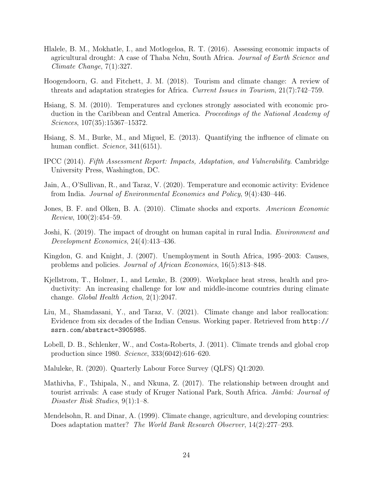- <span id="page-24-4"></span>Hlalele, B. M., Mokhatle, I., and Motlogeloa, R. T. (2016). Assessing economic impacts of agricultural drought: A case of Thaba Nchu, South Africa. Journal of Earth Science and Climate Change, 7(1):327.
- <span id="page-24-3"></span>Hoogendoorn, G. and Fitchett, J. M. (2018). Tourism and climate change: A review of threats and adaptation strategies for Africa. Current Issues in Tourism, 21(7):742–759.
- <span id="page-24-0"></span>Hsiang, S. M. (2010). Temperatures and cyclones strongly associated with economic production in the Caribbean and Central America. Proceedings of the National Academy of Sciences, 107(35):15367–15372.
- <span id="page-24-9"></span>Hsiang, S. M., Burke, M., and Miguel, E. (2013). Quantifying the influence of climate on human conflict. Science, 341(6151).
- <span id="page-24-13"></span>IPCC (2014). Fifth Assessment Report: Impacts, Adaptation, and Vulnerability. Cambridge University Press, Washington, DC.
- <span id="page-24-1"></span>Jain, A., O'Sullivan, R., and Taraz, V. (2020). Temperature and economic activity: Evidence from India. Journal of Environmental Economics and Policy, 9(4):430–446.
- <span id="page-24-5"></span>Jones, B. F. and Olken, B. A. (2010). Climate shocks and exports. American Economic *Review*,  $100(2):454-59$ .
- <span id="page-24-14"></span>Joshi, K. (2019). The impact of drought on human capital in rural India. Environment and Development Economics, 24(4):413–436.
- <span id="page-24-12"></span>Kingdon, G. and Knight, J. (2007). Unemployment in South Africa, 1995–2003: Causes, problems and policies. Journal of African Economies, 16(5):813–848.
- <span id="page-24-8"></span>Kjellstrom, T., Holmer, I., and Lemke, B. (2009). Workplace heat stress, health and productivity: An increasing challenge for low and middle-income countries during climate change. Global Health Action, 2(1):2047.
- <span id="page-24-2"></span>Liu, M., Shamdasani, Y., and Taraz, V. (2021). Climate change and labor reallocation: Evidence from six decades of the Indian Census. Working paper. Retrieved from [http://](http://ssrn.com/abstract=3905985) [ssrn.com/abstract=3905985](http://ssrn.com/abstract=3905985).
- <span id="page-24-7"></span>Lobell, D. B., Schlenker, W., and Costa-Roberts, J. (2011). Climate trends and global crop production since 1980. Science, 333(6042):616–620.
- <span id="page-24-11"></span>Maluleke, R. (2020). Quarterly Labour Force Survey (QLFS) Q1:2020.
- <span id="page-24-10"></span>Mathivha, F., Tshipala, N., and Nkuna, Z. (2017). The relationship between drought and tourist arrivals: A case study of Kruger National Park, South Africa. Jàmbá: Journal of Disaster Risk Studies, 9(1):1–8.
- <span id="page-24-6"></span>Mendelsohn, R. and Dinar, A. (1999). Climate change, agriculture, and developing countries: Does adaptation matter? The World Bank Research Observer, 14(2):277–293.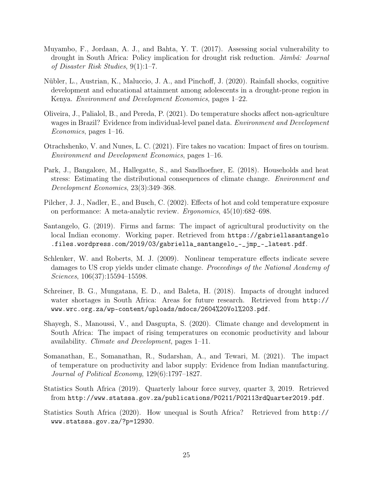- <span id="page-25-1"></span>Muyambo, F., Jordaan, A. J., and Bahta, Y. T. (2017). Assessing social vulnerability to drought in South Africa: Policy implication for drought risk reduction. Jàmbá: Journal of Disaster Risk Studies, 9(1):1–7.
- <span id="page-25-12"></span>Nübler, L., Austrian, K., Maluccio, J. A., and Pinchoff, J. (2020). Rainfall shocks, cognitive development and educational attainment among adolescents in a drought-prone region in Kenya. Environment and Development Economics, pages 1–22.
- <span id="page-25-9"></span>Oliveira, J., Palialol, B., and Pereda, P. (2021). Do temperature shocks affect non-agriculture wages in Brazil? Evidence from individual-level panel data. Environment and Development Economics, pages 1–16.
- <span id="page-25-10"></span>Otrachshenko, V. and Nunes, L. C. (2021). Fire takes no vacation: Impact of fires on tourism. Environment and Development Economics, pages 1–16.
- <span id="page-25-3"></span>Park, J., Bangalore, M., Hallegatte, S., and Sandhoefner, E. (2018). Households and heat stress: Estimating the distributional consequences of climate change. Environment and Development Economics, 23(3):349–368.
- <span id="page-25-7"></span>Pilcher, J. J., Nadler, E., and Busch, C. (2002). Effects of hot and cold temperature exposure on performance: A meta-analytic review. Ergonomics, 45(10):682–698.
- <span id="page-25-6"></span>Santangelo, G. (2019). Firms and farms: The impact of agricultural productivity on the local Indian economy. Working paper. Retrieved from [https://gabriellasantangelo](https://gabriellasantangelo.files.wordpress.com/2019/03/gabriella_santangelo_-_jmp_-_latest.pdf) [.files.wordpress.com/2019/03/gabriella\\_santangelo\\_-\\_jmp\\_-\\_latest.pdf](https://gabriellasantangelo.files.wordpress.com/2019/03/gabriella_santangelo_-_jmp_-_latest.pdf).
- <span id="page-25-5"></span>Schlenker, W. and Roberts, M. J. (2009). Nonlinear temperature effects indicate severe damages to US crop yields under climate change. Proceedings of the National Academy of Sciences, 106(37):15594–15598.
- <span id="page-25-11"></span>Schreiner, B. G., Mungatana, E. D., and Baleta, H. (2018). Impacts of drought induced water shortages in South Africa: Areas for future research. Retrieved from [http://](http://www.wrc.org.za/wp-content/uploads/mdocs/2604%20Vol%203.pdf) [www.wrc.org.za/wp-content/uploads/mdocs/2604%20Vol%203.pdf](http://www.wrc.org.za/wp-content/uploads/mdocs/2604%20Vol%203.pdf).
- <span id="page-25-2"></span>Shayegh, S., Manoussi, V., and Dasgupta, S. (2020). Climate change and development in South Africa: The impact of rising temperatures on economic productivity and labour availability. Climate and Development, pages 1–11.
- <span id="page-25-8"></span>Somanathan, E., Somanathan, R., Sudarshan, A., and Tewari, M. (2021). The impact of temperature on productivity and labor supply: Evidence from Indian manufacturing. Journal of Political Economy, 129(6):1797–1827.
- <span id="page-25-0"></span>Statistics South Africa (2019). Quarterly labour force survey, quarter 3, 2019. Retrieved from <http://www.statssa.gov.za/publications/P0211/P02113rdQuarter2019.pdf>.
- <span id="page-25-4"></span>Statistics South Africa (2020). How unequal is South Africa? Retrieved from [http://](http://www.statssa.gov.za/?p=12930) [www.statssa.gov.za/?p=12930](http://www.statssa.gov.za/?p=12930).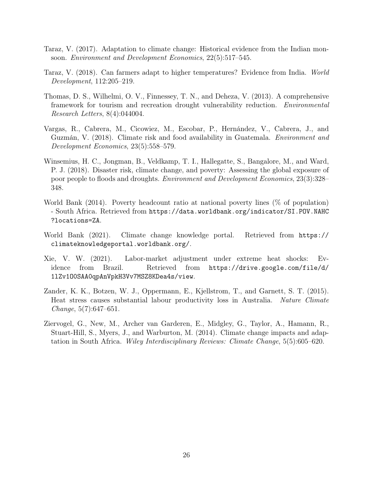- <span id="page-26-7"></span>Taraz, V. (2017). Adaptation to climate change: Historical evidence from the Indian monsoon. Environment and Development Economics, 22(5):517–545.
- <span id="page-26-5"></span>Taraz, V. (2018). Can farmers adapt to higher temperatures? Evidence from India. World Development, 112:205–219.
- <span id="page-26-8"></span>Thomas, D. S., Wilhelmi, O. V., Finnessey, T. N., and Deheza, V. (2013). A comprehensive framework for tourism and recreation drought vulnerability reduction. Environmental Research Letters, 8(4):044004.
- <span id="page-26-6"></span>Vargas, R., Cabrera, M., Cicowiez, M., Escobar, P., Hernández, V., Cabrera, J., and Guzmán, V. (2018). Climate risk and food availability in Guatemala. Environment and Development Economics, 23(5):558–579.
- <span id="page-26-3"></span>Winsemius, H. C., Jongman, B., Veldkamp, T. I., Hallegatte, S., Bangalore, M., and Ward, P. J. (2018). Disaster risk, climate change, and poverty: Assessing the global exposure of poor people to floods and droughts. Environment and Development Economics, 23(3):328– 348.
- <span id="page-26-4"></span>World Bank (2014). Poverty headcount ratio at national poverty lines (% of population) - South Africa. Retrieved from [https://data.worldbank.org/indicator/SI.POV.NAHC](https://data.worldbank.org/indicator/SI.POV.NAHC?locations=ZA) [?locations=ZA](https://data.worldbank.org/indicator/SI.POV.NAHC?locations=ZA).
- <span id="page-26-9"></span>World Bank (2021). Climate change knowledge portal. Retrieved from [https://](https://climateknowledgeportal.worldbank.org/) [climateknowledgeportal.worldbank.org/](https://climateknowledgeportal.worldbank.org/).
- <span id="page-26-0"></span>Xie, V. W. (2021). Labor-market adjustment under extreme heat shocks: Evidence from Brazil. Retrieved from [https://drive.google.com/file/d/](https://drive.google.com/file/d/1lZv1O0SAA0qpAnVpkH3Vv7MSZ8KDea4s/view) [1lZv1O0SAA0qpAnVpkH3Vv7MSZ8KDea4s/view](https://drive.google.com/file/d/1lZv1O0SAA0qpAnVpkH3Vv7MSZ8KDea4s/view).
- <span id="page-26-2"></span>Zander, K. K., Botzen, W. J., Oppermann, E., Kjellstrom, T., and Garnett, S. T. (2015). Heat stress causes substantial labour productivity loss in Australia. Nature Climate Change, 5(7):647–651.
- <span id="page-26-1"></span>Ziervogel, G., New, M., Archer van Garderen, E., Midgley, G., Taylor, A., Hamann, R., Stuart-Hill, S., Myers, J., and Warburton, M. (2014). Climate change impacts and adaptation in South Africa. Wiley Interdisciplinary Reviews: Climate Change, 5(5):605–620.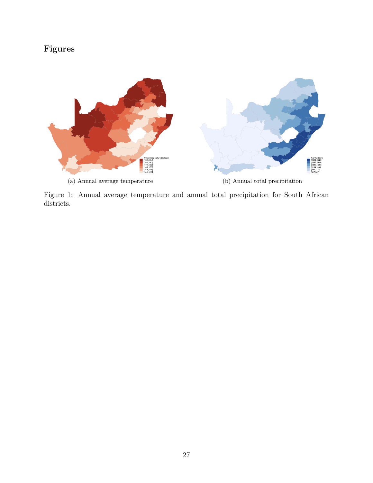# Figures



<span id="page-27-0"></span>Figure 1: Annual average temperature and annual total precipitation for South African districts.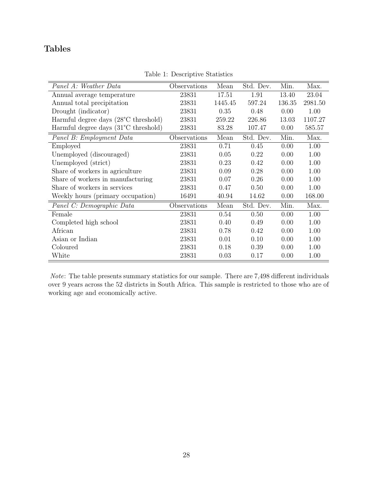## Tables

<span id="page-28-0"></span>

| Panel A: Weather Data                          | Observations | Mean    | Std. Dev. | Min.   | Max.    |
|------------------------------------------------|--------------|---------|-----------|--------|---------|
| Annual average temperature                     | 23831        | 17.51   | 1.91      | 13.40  | 23.04   |
| Annual total precipitation                     | 23831        | 1445.45 | 597.24    | 136.35 | 2981.50 |
| Drought (indicator)                            | 23831        | 0.35    | 0.48      | 0.00   | 1.00    |
| Harmful degree days (28°C threshold)           | 23831        | 259.22  | 226.86    | 13.03  | 1107.27 |
| Harmful degree days $(31^{\circ}$ C threshold) | 23831        | 83.28   | 107.47    | 0.00   | 585.57  |
| Panel B: Employment Data                       | Observations | Mean    | Std. Dev. | Min.   | Max.    |
| Employed                                       | 23831        | 0.71    | 0.45      | 0.00   | 1.00    |
| Unemployed (discouraged)                       | 23831        | 0.05    | 0.22      | 0.00   | 1.00    |
| Unemployed (strict)                            | 23831        | 0.23    | 0.42      | 0.00   | 1.00    |
| Share of workers in agriculture                | 23831        | 0.09    | 0.28      | 0.00   | 1.00    |
| Share of workers in manufacturing              | 23831        | 0.07    | 0.26      | 0.00   | 1.00    |
| Share of workers in services                   | 23831        | 0.47    | 0.50      | 0.00   | 1.00    |
| Weekly hours (primary occupation)              | 16491        | 40.94   | 14.62     | 0.00   | 168.00  |
| Panel C: Demographic Data                      | Observations | Mean    | Std. Dev. | Min.   | Max.    |
| Female                                         | 23831        | 0.54    | 0.50      | 0.00   | 1.00    |
| Completed high school                          | 23831        | 0.40    | 0.49      | 0.00   | 1.00    |
| African                                        | 23831        | 0.78    | 0.42      | 0.00   | 1.00    |
| Asian or Indian                                | 23831        | 0.01    | 0.10      | 0.00   | 1.00    |
| Coloured                                       | 23831        | 0.18    | 0.39      | 0.00   | 1.00    |
| White                                          | 23831        | 0.03    | 0.17      | 0.00   | 1.00    |

Table 1: Descriptive Statistics

Note: The table presents summary statistics for our sample. There are 7,498 different individuals over 9 years across the 52 districts in South Africa. This sample is restricted to those who are of working age and economically active.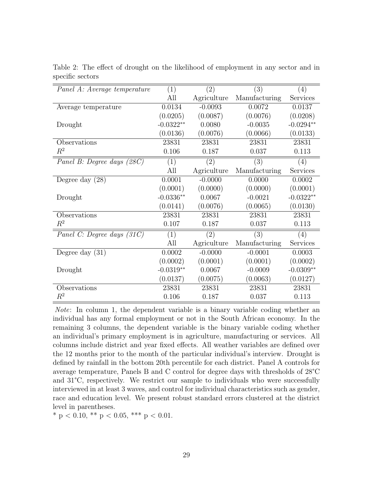| Panel A: Average temperature | (1)         | $\left( 2\right)$ | (3)               | (4)         |
|------------------------------|-------------|-------------------|-------------------|-------------|
|                              | All         | Agriculture       | Manufacturing     | Services    |
| Average temperature          | 0.0134      | $-0.0093$         | 0.0072            | 0.0137      |
|                              | (0.0205)    | (0.0087)          | (0.0076)          | (0.0208)    |
| Drought                      | $-0.0322**$ | 0.0080            | $-0.0035$         | $-0.0294**$ |
|                              | (0.0136)    | (0.0076)          | (0.0066)          | (0.0133)    |
| Observations                 | 23831       | 23831             | 23831             | 23831       |
| $\,R^2$                      | 0.106       | 0.187             | 0.037             | 0.113       |
| Panel B: Degree days (28C)   | (1)         | (2)               | $\left( 3\right)$ | (4)         |
|                              | All         | Agriculture       | Manufacturing     | Services    |
| Degree day $(28)$            | 0.0001      | $-0.0000$         | 0.0000            | 0.0002      |
|                              | (0.0001)    | (0.0000)          | (0.0000)          | (0.0001)    |
| Drought                      | $-0.0336**$ | 0.0067            | $-0.0021$         | $-0.0322**$ |
|                              | (0.0141)    | (0.0076)          | (0.0065)          | (0.0130)    |
| Observations                 | 23831       | 23831             | 23831             | 23831       |
| $R^2$                        | 0.107       | 0.187             | 0.037             | 0.113       |
| Panel C: Degree days (31C)   | (1)         | (2)               | (3)               | (4)         |
|                              | All         | Agriculture       | Manufacturing     | Services    |
| Degree day $(31)$            | 0.0002      | $-0.0000$         | $-0.0001$         | 0.0003      |
|                              | (0.0002)    | (0.0001)          | (0.0001)          | (0.0002)    |
| Drought                      | $-0.0319**$ | 0.0067            | $-0.0009$         | $-0.0309**$ |
|                              | (0.0137)    | (0.0075)          | (0.0063)          | (0.0127)    |
| Observations                 | 23831       | 23831             | 23831             | 23831       |
| $R^2$                        | 0.106       | 0.187             | 0.037             | 0.113       |

<span id="page-29-0"></span>Table 2: The effect of drought on the likelihood of employment in any sector and in specific sectors

Note: In column 1, the dependent variable is a binary variable coding whether an individual has any formal employment or not in the South African economy. In the remaining 3 columns, the dependent variable is the binary variable coding whether an individual's primary employment is in agriculture, manufacturing or services. All columns include district and year fixed effects. All weather variables are defined over the 12 months prior to the month of the particular individual's interview. Drought is defined by rainfall in the bottom 20th percentile for each district. Panel A controls for average temperature, Panels B and C control for degree days with thresholds of 28°C and 31°C, respectively. We restrict our sample to individuals who were successfully interviewed in at least 3 waves, and control for individual characteristics such as gender, race and education level. We present robust standard errors clustered at the district level in parentheses.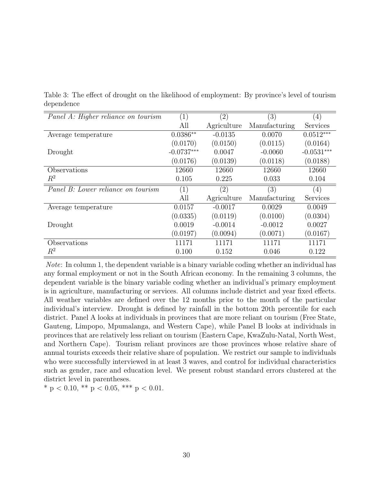<span id="page-30-0"></span>Table 3: The effect of drought on the likelihood of employment: By province's level of tourism dependence

| Panel A: Higher reliance on tourism | (1)          | $\left( 2\right)$ | $\left(3\right)$ | $\left( 4\right)$ |
|-------------------------------------|--------------|-------------------|------------------|-------------------|
|                                     | All          | Agriculture       | Manufacturing    | Services          |
| Average temperature                 | $0.0386**$   | $-0.0135$         | 0.0070           | $0.0512***$       |
|                                     | (0.0170)     | (0.0150)          | (0.0115)         | (0.0164)          |
| Drought                             | $-0.0737***$ | 0.0047            | $-0.0060$        | $-0.0531***$      |
|                                     | (0.0176)     | (0.0139)          | (0.0118)         | (0.0188)          |
| Observations                        | 12660        | 12660             | 12660            | 12660             |
| $R^2$                               | 0.105        | 0.225             | 0.033            | 0.104             |
| Panel B: Lower reliance on tourism  | (1)          | $\left( 2\right)$ | $\left(3\right)$ | (4)               |
|                                     |              |                   |                  |                   |
|                                     | All          | Agriculture       | Manufacturing    | Services          |
| Average temperature                 | 0.0157       | $-0.0017$         | 0.0029           | 0.0049            |
|                                     | (0.0335)     | (0.0119)          | (0.0100)         | (0.0304)          |
| Drought                             | 0.0019       | $-0.0014$         | $-0.0012$        | 0.0027            |
|                                     | (0.0197)     | (0.0094)          | (0.0071)         | (0.0167)          |
| Observations                        | 11171        | 11171             | 11171            | 11171             |

Note: In column 1, the dependent variable is a binary variable coding whether an individual has any formal employment or not in the South African economy. In the remaining 3 columns, the dependent variable is the binary variable coding whether an individual's primary employment is in agriculture, manufacturing or services. All columns include district and year fixed effects. All weather variables are defined over the 12 months prior to the month of the particular individual's interview. Drought is defined by rainfall in the bottom 20th percentile for each district. Panel A looks at individuals in provinces that are more reliant on tourism (Free State, Gauteng, Limpopo, Mpumalanga, and Western Cape), while Panel B looks at individuals in provinces that are relatively less reliant on tourism (Eastern Cape, KwaZulu-Natal, North West, and Northern Cape). Tourism reliant provinces are those provinces whose relative share of annual tourists exceeds their relative share of population. We restrict our sample to individuals who were successfully interviewed in at least 3 waves, and control for individual characteristics such as gender, race and education level. We present robust standard errors clustered at the district level in parentheses.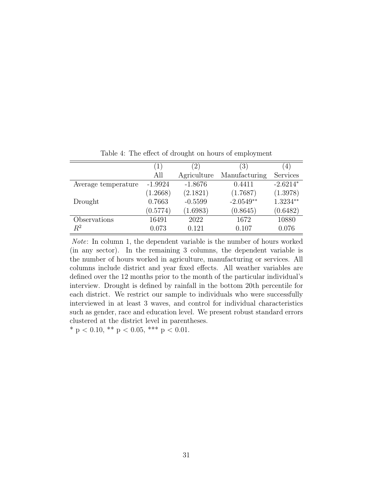<span id="page-31-0"></span>

|                     | $\left(1\right)$ | (2)         | $\left(3\right)$ | $\left(4\right)$ |
|---------------------|------------------|-------------|------------------|------------------|
|                     | All              | Agriculture | Manufacturing    | Services         |
| Average temperature | $-1.9924$        | $-1.8676$   | 0.4411           | $-2.6214*$       |
|                     | (1.2668)         | (2.1821)    | (1.7687)         | (1.3978)         |
| Drought             | 0.7663           | $-0.5599$   | $-2.0549**$      | $1.3234**$       |
|                     | (0.5774)         | (1.6983)    | (0.8645)         | (0.6482)         |
| Observations        | 16491            | 2022        | 1672             | 10880            |
| $R^2$               | 0.073            | 0.121       | 0.107            | 0.076            |

Table 4: The effect of drought on hours of employment

Note: In column 1, the dependent variable is the number of hours worked (in any sector). In the remaining 3 columns, the dependent variable is the number of hours worked in agriculture, manufacturing or services. All columns include district and year fixed effects. All weather variables are defined over the 12 months prior to the month of the particular individual's interview. Drought is defined by rainfall in the bottom 20th percentile for each district. We restrict our sample to individuals who were successfully interviewed in at least 3 waves, and control for individual characteristics such as gender, race and education level. We present robust standard errors clustered at the district level in parentheses.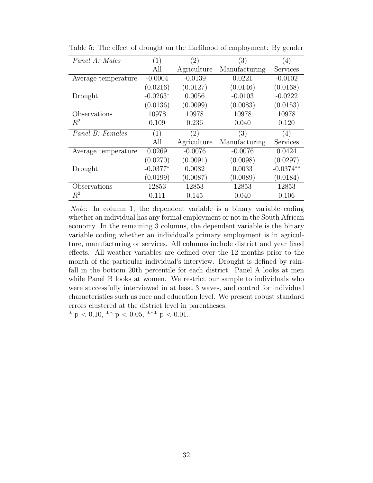| Panel A: Males      | (1)        | $\left( 2\right)$ | $\left( 3\right)$ | (4)         |
|---------------------|------------|-------------------|-------------------|-------------|
|                     | All        | Agriculture       | Manufacturing     | Services    |
| Average temperature | $-0.0004$  | $-0.0139$         | 0.0221            | $-0.0102$   |
|                     | (0.0216)   | (0.0127)          | (0.0146)          | (0.0168)    |
| Drought             | $-0.0263*$ | 0.0056            | $-0.0103$         | $-0.0222$   |
|                     | (0.0136)   | (0.0099)          | (0.0083)          | (0.0153)    |
| Observations        | 10978      | 10978             | 10978             | 10978       |
| $R^2$               | 0.109      | 0.236             | 0.040             | 0.120       |
| Panel B: Females    | (1)        | (2)               | (3)               | (4)         |
|                     | All        | Agriculture       | Manufacturing     | Services    |
| Average temperature | 0.0269     | $-0.0076$         | $-0.0076$         | 0.0424      |
|                     | (0.0270)   | (0.0091)          | (0.0098)          | (0.0297)    |
| Drought             | $-0.0377*$ | 0.0082            | 0.0033            | $-0.0374**$ |
|                     | (0.0199)   | (0.0087)          | (0.0089)          | (0.0184)    |
| Observations        | 12853      | 12853             | 12853             | 12853       |
| $R^2$               | 0.111      | 0.145             | 0.040             | 0.106       |

<span id="page-32-0"></span>Table 5: The effect of drought on the likelihood of employment: By gender

Note: In column 1, the dependent variable is a binary variable coding whether an individual has any formal employment or not in the South African economy. In the remaining 3 columns, the dependent variable is the binary variable coding whether an individual's primary employment is in agriculture, manufacturing or services. All columns include district and year fixed effects. All weather variables are defined over the 12 months prior to the month of the particular individual's interview. Drought is defined by rainfall in the bottom 20th percentile for each district. Panel A looks at men while Panel B looks at women. We restrict our sample to individuals who were successfully interviewed in at least 3 waves, and control for individual characteristics such as race and education level. We present robust standard errors clustered at the district level in parentheses.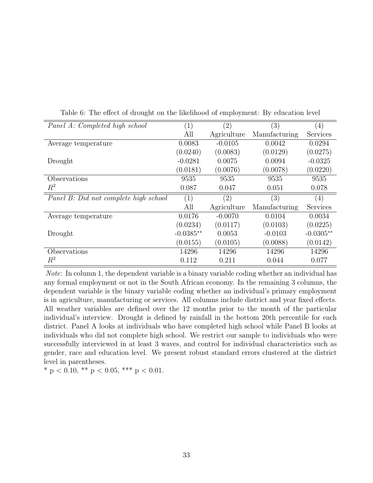<span id="page-33-0"></span>

| Panel A: Completed high school        | $\left( 1\right)$ | $\left( 2\right)$ | (3)           | (4)         |
|---------------------------------------|-------------------|-------------------|---------------|-------------|
|                                       | All               | Agriculture       | Manufacturing | Services    |
| Average temperature                   | 0.0083            | $-0.0105$         | 0.0042        | 0.0294      |
|                                       | (0.0240)          | (0.0083)          | (0.0129)      | (0.0275)    |
| Drought                               | $-0.0281$         | 0.0075            | 0.0094        | $-0.0325$   |
|                                       | (0.0181)          | (0.0076)          | (0.0078)      | (0.0220)    |
| Observations                          | 9535              | 9535              | 9535          | 9535        |
| $R^2$                                 | 0.087             | 0.047             | 0.051         | 0.078       |
| Panel B: Did not complete high school | (1)               | $\left( 2\right)$ | (3)           | (4)         |
|                                       | All               | Agriculture       | Manufacturing | Services    |
| Average temperature                   | 0.0176            | $-0.0070$         | 0.0104        | 0.0034      |
|                                       | (0.0234)          | (0.0117)          | (0.0103)      | (0.0225)    |
| Drought                               | $-0.0385**$       | 0.0053            | $-0.0103$     | $-0.0305**$ |
|                                       | (0.0155)          | (0.0105)          | (0.0088)      | (0.0142)    |
| Observations                          | 14296             | 14296             | 14296         | 14296       |
| $R^2$                                 | 0.112             | 0.211             | 0.044         | 0.077       |

Table 6: The effect of drought on the likelihood of employment: By education level

Note: In column 1, the dependent variable is a binary variable coding whether an individual has any formal employment or not in the South African economy. In the remaining 3 columns, the dependent variable is the binary variable coding whether an individual's primary employment is in agriculture, manufacturing or services. All columns include district and year fixed effects. All weather variables are defined over the 12 months prior to the month of the particular individual's interview. Drought is defined by rainfall in the bottom 20th percentile for each district. Panel A looks at individuals who have completed high school while Panel B looks at individuals who did not complete high school. We restrict our sample to individuals who were successfully interviewed in at least 3 waves, and control for individual characteristics such as gender, race and education level. We present robust standard errors clustered at the district level in parentheses.